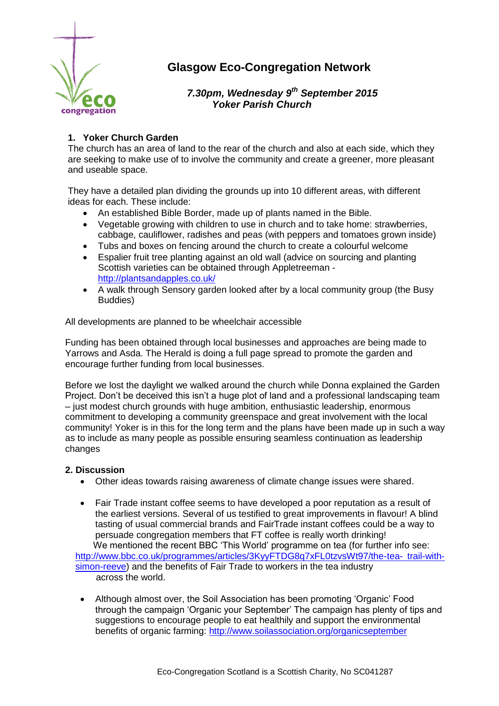

# **Glasgow Eco-Congregation Network**

 *7.30pm, Wednesday 9 th September 2015 Yoker Parish Church*

# **1. Yoker Church Garden**

The church has an area of land to the rear of the church and also at each side, which they are seeking to make use of to involve the community and create a greener, more pleasant and useable space.

They have a detailed plan dividing the grounds up into 10 different areas, with different ideas for each. These include:

- An established Bible Border, made up of plants named in the Bible.
- Vegetable growing with children to use in church and to take home: strawberries, cabbage, cauliflower, radishes and peas (with peppers and tomatoes grown inside)
- Tubs and boxes on fencing around the church to create a colourful welcome
- Espalier fruit tree planting against an old wall (advice on sourcing and planting Scottish varieties can be obtained through Appletreeman <http://plantsandapples.co.uk/>
- A walk through Sensory garden looked after by a local community group (the Busy Buddies)

All developments are planned to be wheelchair accessible

Funding has been obtained through local businesses and approaches are being made to Yarrows and Asda. The Herald is doing a full page spread to promote the garden and encourage further funding from local businesses.

Before we lost the daylight we walked around the church while Donna explained the Garden Project. Don't be deceived this isn't a huge plot of land and a professional landscaping team – just modest church grounds with huge ambition, enthusiastic leadership, enormous commitment to developing a community greenspace and great involvement with the local community! Yoker is in this for the long term and the plans have been made up in such a way as to include as many people as possible ensuring seamless continuation as leadership changes

### **2. Discussion**

- Other ideas towards raising awareness of climate change issues were shared.
- Fair Trade instant coffee seems to have developed a poor reputation as a result of the earliest versions. Several of us testified to great improvements in flavour! A blind tasting of usual commercial brands and FairTrade instant coffees could be a way to persuade congregation members that FT coffee is really worth drinking! We mentioned the recent BBC 'This World' programme on tea (for further info see:

[http://www.bbc.co.uk/programmes/articles/3KyyFTDG8q7xFL0tzvsWt97/the-tea-](http://www.bbc.co.uk/programmes/articles/3KyyFTDG8q7xFL0tzvsWt97/the-tea-%09trail-with-%09simon-reeve) trail-with[simon-reeve\)](http://www.bbc.co.uk/programmes/articles/3KyyFTDG8q7xFL0tzvsWt97/the-tea-%09trail-with-%09simon-reeve) and the benefits of Fair Trade to workers in the tea industry across the world.

 Although almost over, the Soil Association has been promoting 'Organic' Food through the campaign 'Organic your September' The campaign has plenty of tips and suggestions to encourage people to eat healthily and support the environmental benefits of organic farming:<http://www.soilassociation.org/organicseptember>